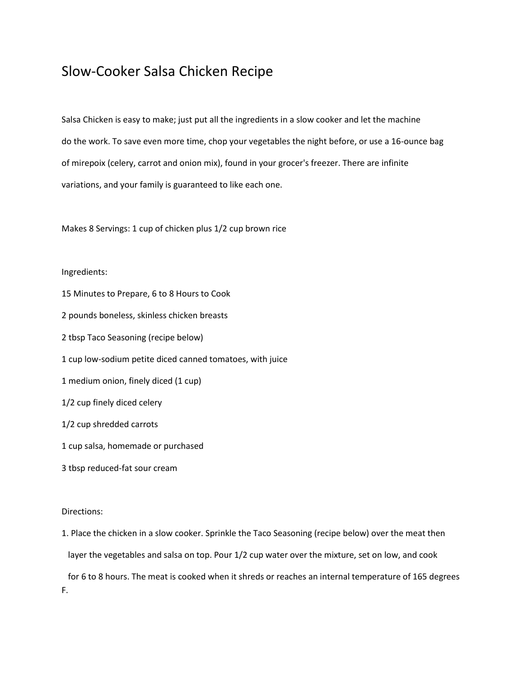## Slow-Cooker Salsa Chicken Recipe

Salsa Chicken is easy to make; just put all the ingredients in a slow cooker and let the machine do the work. To save even more time, chop your vegetables the night before, or use a 16-ounce bag of mirepoix (celery, carrot and onion mix), found in your grocer's freezer. There are infinite variations, and your family is guaranteed to like each one.

Makes 8 Servings: 1 cup of chicken plus 1/2 cup brown rice

## Ingredients:

- 15 Minutes to Prepare, 6 to 8 Hours to Cook
- 2 pounds boneless, skinless chicken breasts
- 2 tbsp Taco Seasoning (recipe below)
- 1 cup low-sodium petite diced canned tomatoes, with juice
- 1 medium onion, finely diced (1 cup)
- 1/2 cup finely diced celery
- 1/2 cup shredded carrots
- 1 cup salsa, homemade or purchased
- 3 tbsp reduced-fat sour cream

## Directions:

1. Place the chicken in a slow cooker. Sprinkle the Taco Seasoning (recipe below) over the meat then layer the vegetables and salsa on top. Pour 1/2 cup water over the mixture, set on low, and cook

 for 6 to 8 hours. The meat is cooked when it shreds or reaches an internal temperature of 165 degrees F.